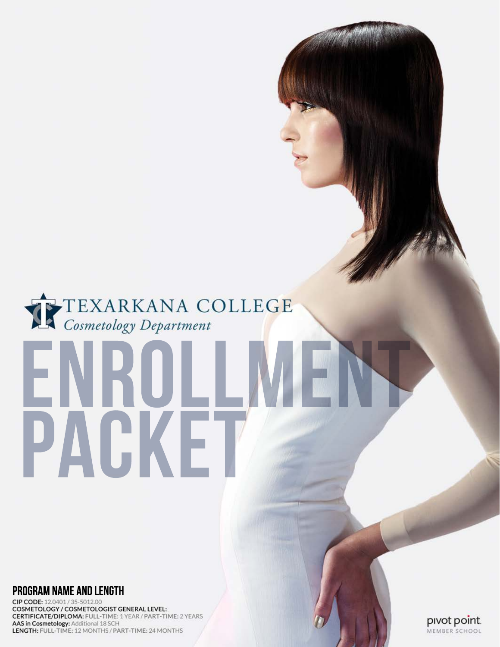# TEXARKANA COLLEGE

# **PROGRAM NAME AND LENGTH**

CIP CODE: 12.0401 / 35-5012.00 COSMETOLOGY / COSMETOLOGIST GENERAL LEVEL: **CERTIFICATE/DIPLOMA: FULL-TIME: 1 YEAR / PART-TIME: 2 YEARS** AAS in Cosmetology: Additional 18 SCH LENGTH: FULL-TIME: 12 MONTHS / PART-TIME: 24 MONTHS

PACKE

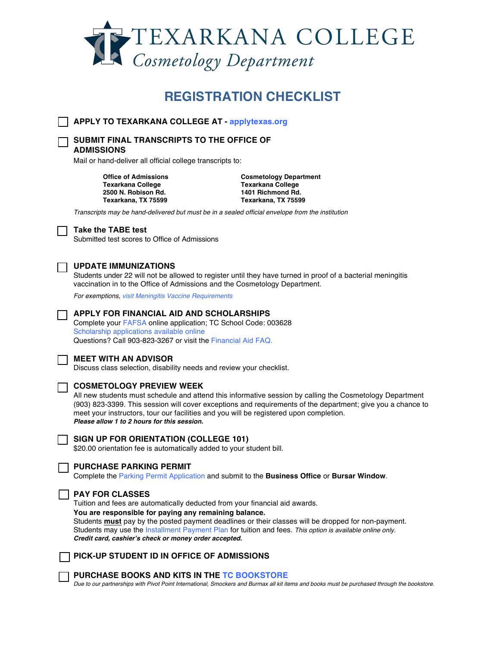

# **REGISTRATION CHECKLIST**

**APPLY TO TEXARKANA COLLEGE AT - applytexas.org**

**SUBMIT FINAL TRANSCRIPTS TO THE OFFICE OF ADMISSIONS** 

Mail or hand-deliver all official college transcripts to:

**Texarkana College Texarkana College 2500 N. Robison Rd. Texarkana, TX 75599 Texarkana, TX 75599**

**Office of Admissions Cosmetology Department**

*Transcripts may be hand-delivered but must be in a sealed official envelope from the institution*

### **Take the TABE test**

Submitted test scores to Office of Admissions

# **UPDATE IMMUNIZATIONS**

Students under 22 will not be allowed to register until they have turned in proof of a bacterial meningitis vaccination in to the Office of Admissions and the Cosmetology Department.

*For exemptions, visit Meningitis Vaccine Requirements*

# **APPLY FOR FINANCIAL AID AND SCHOLARSHIPS**

Complete your FAFSA online application; TC School Code: 003628 Scholarship applications available online Questions? Call 903-823-3267 or visit the Financial Aid FAQ.



### **MEET WITH AN ADVISOR**

Discuss class selection, disability needs and review your checklist.

# **COSMETOLOGY PREVIEW WEEK**

All new students must schedule and attend this informative session by calling the Cosmetology Department (903) 823-3399. This session will cover exceptions and requirements of the department; give you a chance to meet your instructors, tour our facilities and you will be registered upon completion. *Please allow 1 to 2 hours for this session.* 



### **SIGN UP FOR ORIENTATION (COLLEGE 101)**

\$20.00 orientation fee is automatically added to your student bill.



# **PURCHASE PARKING PERMIT**

Complete the Parking Permit Application and submit to the **Business Office** or **Bursar Window**.

## **PAY FOR CLASSES**

Tuition and fees are automatically deducted from your financial aid awards. **You are responsible for paying any remaining balance.** Students **must** pay by the posted payment deadlines or their classes will be dropped for non-payment. Students may use the Installment Payment Plan for tuition and fees. *This option is available online only. Credit card, cashier's check or money order accepted.* 



### **PURCHASE BOOKS AND KITS IN THE TC BOOKSTORE**

*Due to our partnerships with Pivot Point International, Smockers and Burmax all kit items and books must be purchased through the bookstore.*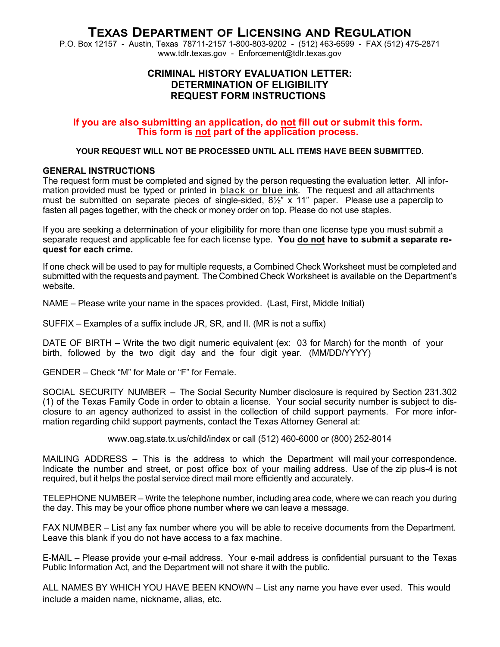# **TEXAS DEPARTMENT OF LICENSING AND REGULATION**

P.O. Box 12157 - Austin, Texas 78711-2157 1-800-803-9202 - (512) 463-6599 - FAX (512) 475-2871 www.tdlr.texas.gov - Enforcement@tdlr.texas.gov

# **CRIMINAL HISTORY EVALUATION LETTER: DETERMINATION OF ELIGIBILITY REQUEST FORM INSTRUCTIONS**

# **If you are also submitting an application, do not fill out or submit this form. This form is not part of the application process.**

# **YOUR REQUEST WILL NOT BE PROCESSED UNTIL ALL ITEMS HAVE BEEN SUBMITTED.**

# **GENERAL INSTRUCTIONS**

The request form must be completed and signed by the person requesting the evaluation letter. All information provided must be typed or printed in black or blue ink. The request and all attachments must be submitted on separate pieces of single-sided, 8½" x 11" paper. Please use a paperclip to fasten all pages together, with the check or money order on top. Please do not use staples.

If you are seeking a determination of your eligibility for more than one license type you must submit a separate request and applicable fee for each license type. **You do not have to submit a separate request for each crime.**

If one check will be used to pay for multiple requests, a Combined Check Worksheet must be completed and submitted with the requests and payment. The Combined Check Worksheet is available on the Department's website.

NAME – Please write your name in the spaces provided. (Last, First, Middle Initial)

SUFFIX – Examples of a suffix include JR, SR, and II. (MR is not a suffix)

DATE OF BIRTH – Write the two digit numeric equivalent (ex: 03 for March) for the month of your birth, followed by the two digit day and the four digit year. (MM/DD/YYYY)

GENDER – Check "M" for Male or "F" for Female.

SOCIAL SECURITY NUMBER – The Social Security Number disclosure is required by Section 231.302 (1) of the Texas Family Code in order to obtain a license. Your social security number is subject to disclosure to an agency authorized to assist in the collection of child support payments. For more information regarding child support payments, contact the Texas Attorney General at:

www.oag.state.tx.us/child/index or call (512) 460-6000 or (800) 252-8014

MAILING ADDRESS – This is the address to which the Department will mail your correspondence. Indicate the number and street, or post office box of your mailing address. Use of the zip plus-4 is not required, but it helps the postal service direct mail more efficiently and accurately.

TELEPHONE NUMBER – Write the telephone number, including area code, where we can reach you during the day. This may be your office phone number where we can leave a message.

FAX NUMBER – List any fax number where you will be able to receive documents from the Department. Leave this blank if you do not have access to a fax machine.

E-MAIL – Please provide your e-mail address. Your e-mail address is confidential pursuant to the Texas Public Information Act, and the Department will not share it with the public.

ALL NAMES BY WHICH YOU HAVE BEEN KNOWN – List any name you have ever used. This would include a maiden name, nickname, alias, etc.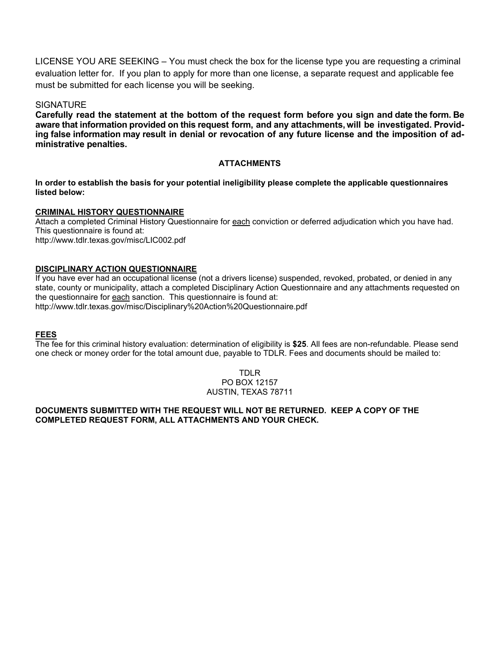LICENSE YOU ARE SEEKING – You must check the box for the license type you are requesting a criminal evaluation letter for. If you plan to apply for more than one license, a separate request and applicable fee must be submitted for each license you will be seeking.

# **SIGNATURE**

**Carefully read the statement at the bottom of the request form before you sign and date the form. Be aware that information provided on this request form, and any attachments, will be investigated. Providing false information may result in denial or revocation of any future license and the imposition of administrative penalties.**

# **ATTACHMENTS**

**In order to establish the basis for your potential ineligibility please complete the applicable questionnaires listed below:**

# **CRIMINAL HISTORY QUESTIONNAIRE**

Attach a completed Criminal History Questionnaire for each conviction or deferred adjudication which you have had. This questionnaire is found at: http://www.tdlr.texas.gov/misc/LIC002.pdf

# **DISCIPLINARY ACTION QUESTIONNAIRE**

If you have ever had an occupational license (not a drivers license) suspended, revoked, probated, or denied in any state, county or municipality, attach a completed Disciplinary Action Questionnaire and any attachments requested on the questionnaire for each sanction. This questionnaire is found at:

http://www.tdlr.texas.gov/misc/Disciplinary%20Action%20Questionnaire.pdf

# **FEES**

The fee for this criminal history evaluation: determination of eligibility is **\$25**. All fees are non-refundable. Please send one check or money order for the total amount due, payable to TDLR. Fees and documents should be mailed to:

# TDLR PO BOX 12157 AUSTIN, TEXAS 78711

# **DOCUMENTS SUBMITTED WITH THE REQUEST WILL NOT BE RETURNED. KEEP A COPY OF THE COMPLETED REQUEST FORM, ALL ATTACHMENTS AND YOUR CHECK.**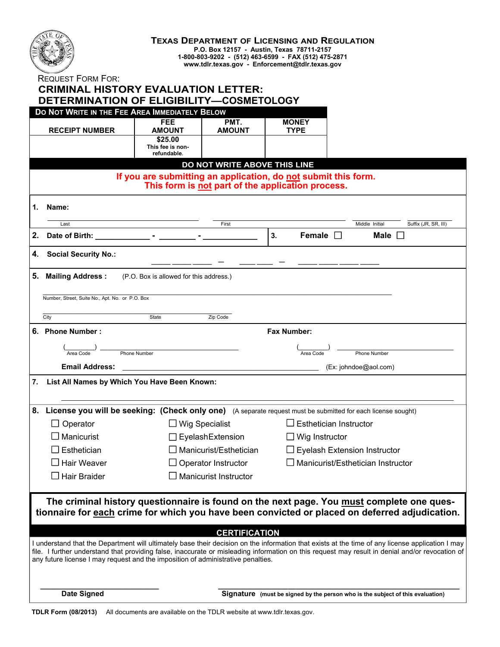

### **TEXAS DEPARTMENT OF LICENSING AND REGULATION P.O. Box 12157 - Austin, Texas 78711-2157 1-800-803-9202 - (512) 463-6599 - FAX (512) 475-2871**

**www.tdlr.texas.gov - Enforcement@tdlr.texas.gov**

REQUEST FORM FOR:

|             |                                                  | <b>CRIMINAL HISTORY EVALUATION LETTER:</b><br>DETERMINATION OF ELIGIBILITY-COSMETOLOGY |                                                   |                               |                                                                                                                                                                                                                                                                                                     |  |  |  |
|-------------|--------------------------------------------------|----------------------------------------------------------------------------------------|---------------------------------------------------|-------------------------------|-----------------------------------------------------------------------------------------------------------------------------------------------------------------------------------------------------------------------------------------------------------------------------------------------------|--|--|--|
|             |                                                  | DO NOT WRITE IN THE FEE AREA IMMEDIATELY BELOW                                         |                                                   |                               |                                                                                                                                                                                                                                                                                                     |  |  |  |
|             | <b>RECEIPT NUMBER</b>                            | <b>FEE</b><br><b>AMOUNT</b>                                                            | PMT.<br><b>AMOUNT</b>                             | <b>MONEY</b><br><b>TYPE</b>   |                                                                                                                                                                                                                                                                                                     |  |  |  |
|             |                                                  | \$25.00<br>This fee is non-<br>refundable.                                             |                                                   |                               |                                                                                                                                                                                                                                                                                                     |  |  |  |
|             |                                                  |                                                                                        | DO NOT WRITE ABOVE THIS LINE                      |                               |                                                                                                                                                                                                                                                                                                     |  |  |  |
|             |                                                  | If you are submitting an application, do not submit this form.                         | This form is not part of the application process. |                               |                                                                                                                                                                                                                                                                                                     |  |  |  |
| 1.          | Name:                                            |                                                                                        |                                                   |                               |                                                                                                                                                                                                                                                                                                     |  |  |  |
|             | Last                                             |                                                                                        | First                                             |                               | Suffix (JR, SR, III)<br>Middle Initial                                                                                                                                                                                                                                                              |  |  |  |
| 2.          |                                                  |                                                                                        |                                                   | 3.<br>Female $\square$        | Male $\Box$                                                                                                                                                                                                                                                                                         |  |  |  |
| 4.          | <b>Social Security No.:</b>                      |                                                                                        |                                                   |                               |                                                                                                                                                                                                                                                                                                     |  |  |  |
| 5.          | <b>Mailing Address:</b>                          | (P.O. Box is allowed for this address.)                                                |                                                   |                               |                                                                                                                                                                                                                                                                                                     |  |  |  |
|             | Number, Street, Suite No., Apt. No. or P.O. Box  |                                                                                        |                                                   |                               |                                                                                                                                                                                                                                                                                                     |  |  |  |
|             |                                                  |                                                                                        |                                                   |                               |                                                                                                                                                                                                                                                                                                     |  |  |  |
| City        |                                                  | State                                                                                  | Zip Code                                          |                               |                                                                                                                                                                                                                                                                                                     |  |  |  |
|             | 6. Phone Number:<br><b>Fax Number:</b>           |                                                                                        |                                                   |                               |                                                                                                                                                                                                                                                                                                     |  |  |  |
|             |                                                  | Phone Number                                                                           |                                                   | Area Code                     | Phone Number                                                                                                                                                                                                                                                                                        |  |  |  |
|             | <b>Email Address:</b>                            |                                                                                        |                                                   |                               | (Ex: johndoe@aol.com)                                                                                                                                                                                                                                                                               |  |  |  |
|             |                                                  | 7. List All Names by Which You Have Been Known:                                        |                                                   |                               |                                                                                                                                                                                                                                                                                                     |  |  |  |
|             |                                                  |                                                                                        |                                                   |                               | 8. License you will be seeking: (Check only one) (A separate request must be submitted for each license sought)                                                                                                                                                                                     |  |  |  |
|             | $\Box$ Operator                                  | $\Box$ Wig Specialist                                                                  |                                                   | $\Box$ Esthetician Instructor |                                                                                                                                                                                                                                                                                                     |  |  |  |
|             | $\square$ Manicurist<br>$\Box$ Eyelash Extension |                                                                                        |                                                   | $\Box$ Wig Instructor         |                                                                                                                                                                                                                                                                                                     |  |  |  |
| Esthetician |                                                  |                                                                                        | $\Box$ Manicurist/Esthetician                     |                               | <b>Eyelash Extension Instructor</b>                                                                                                                                                                                                                                                                 |  |  |  |
|             | $\square$ Hair Weaver                            |                                                                                        | Operator Instructor                               |                               | Manicurist/Esthetician Instructor                                                                                                                                                                                                                                                                   |  |  |  |
|             | $\Box$ Hair Braider                              |                                                                                        | <b>Manicurist Instructor</b>                      |                               |                                                                                                                                                                                                                                                                                                     |  |  |  |
|             |                                                  |                                                                                        |                                                   |                               | The criminal history questionnaire is found on the next page. You must complete one ques-                                                                                                                                                                                                           |  |  |  |
|             |                                                  |                                                                                        |                                                   |                               | tionnaire for each crime for which you have been convicted or placed on deferred adjudication.                                                                                                                                                                                                      |  |  |  |
|             |                                                  |                                                                                        | <b>CERTIFICATION</b>                              |                               |                                                                                                                                                                                                                                                                                                     |  |  |  |
|             |                                                  | any future license I may request and the imposition of administrative penalties.       |                                                   |                               | I understand that the Department will ultimately base their decision on the information that exists at the time of any license application I may<br>file. I further understand that providing false, inaccurate or misleading information on this request may result in denial and/or revocation of |  |  |  |
|             |                                                  |                                                                                        |                                                   |                               |                                                                                                                                                                                                                                                                                                     |  |  |  |
|             | <b>Date Signed</b>                               |                                                                                        |                                                   |                               | Signature (must be signed by the person who is the subject of this evaluation)                                                                                                                                                                                                                      |  |  |  |